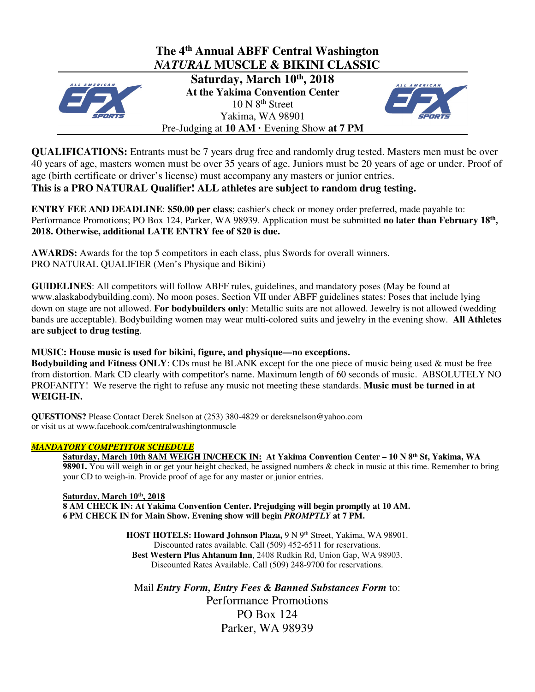

**QUALIFICATIONS:** Entrants must be 7 years drug free and randomly drug tested. Masters men must be over 40 years of age, masters women must be over 35 years of age. Juniors must be 20 years of age or under. Proof of age (birth certificate or driver's license) must accompany any masters or junior entries.

**This is a PRO NATURAL Qualifier! ALL athletes are subject to random drug testing.** 

**ENTRY FEE AND DEADLINE**: **\$50.00 per class**; cashier's check or money order preferred, made payable to: Performance Promotions; PO Box 124, Parker, WA 98939. Application must be submitted **no later than February 18<sup>th</sup>**, **2018. Otherwise, additional LATE ENTRY fee of \$20 is due.** 

**AWARDS:** Awards for the top 5 competitors in each class, plus Swords for overall winners. PRO NATURAL QUALIFIER (Men's Physique and Bikini)

**GUIDELINES**: All competitors will follow ABFF rules, guidelines, and mandatory poses (May be found at www.alaskabodybuilding.com). No moon poses. Section VII under ABFF guidelines states: Poses that include lying down on stage are not allowed. **For bodybuilders only**: Metallic suits are not allowed. Jewelry is not allowed (wedding bands are acceptable). Bodybuilding women may wear multi-colored suits and jewelry in the evening show. **All Athletes are subject to drug testing**.

## **MUSIC: House music is used for bikini, figure, and physique—no exceptions.**

**Bodybuilding and Fitness ONLY**: CDs must be BLANK except for the one piece of music being used & must be free from distortion. Mark CD clearly with competitor's name. Maximum length of 60 seconds of music. ABSOLUTELY NO PROFANITY! We reserve the right to refuse any music not meeting these standards. **Music must be turned in at WEIGH-IN.**

**QUESTIONS?** Please Contact Derek Snelson at (253) 380-4829 or dereksnelson@yahoo.com or visit us at www.facebook.com/centralwashingtonmuscle

## *MANDATORY COMPETITOR SCHEDULE*

**Saturday, March 10th 8AM WEIGH IN/CHECK IN: At Yakima Convention Center – 10 N 8th St, Yakima, WA 98901.** You will weigh in or get your height checked, be assigned numbers & check in music at this time. Remember to bring your CD to weigh-in. Provide proof of age for any master or junior entries.

### **Saturday, March 10th, 2018**

**8 AM CHECK IN: At Yakima Convention Center. Prejudging will begin promptly at 10 AM. 6 PM CHECK IN for Main Show. Evening show will begin** *PROMPTLY* **at 7 PM.** 

> **HOST HOTELS: Howard Johnson Plaza, 9 N 9th Street, Yakima, WA 98901.** Discounted rates available. Call (509) 452-6511 for reservations. **Best Western Plus Ahtanum Inn**, 2408 Rudkin Rd, Union Gap, WA 98903. Discounted Rates Available. Call (509) 248-9700 for reservations.

Mail *Entry Form, Entry Fees & Banned Substances Form* to: Performance Promotions PO Box 124 Parker, WA 98939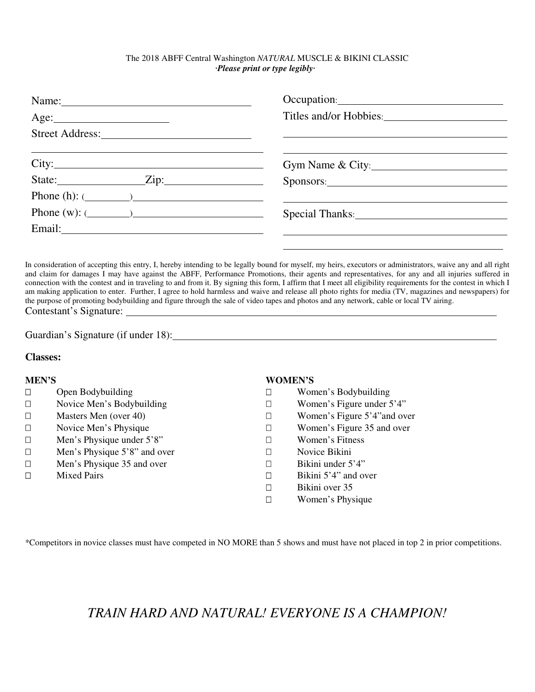#### The 2018 ABFF Central Washington *NATURAL* MUSCLE & BIKINI CLASSIC *·Please print or type legibly·*

| Name:                     |                        |
|---------------------------|------------------------|
|                           | Titles and/or Hobbies: |
|                           |                        |
|                           | Gym Name & City:       |
|                           | Sponsors:              |
| Phone (h): $(\_\_\_\_\_)$ |                        |
| Phone (w): $(\_\_\_\_\_)$ | Special Thanks:        |
|                           |                        |
|                           |                        |

In consideration of accepting this entry, I, hereby intending to be legally bound for myself, my heirs, executors or administrators, waive any and all right and claim for damages I may have against the ABFF, Performance Promotions, their agents and representatives, for any and all injuries suffered in connection with the contest and in traveling to and from it. By signing this form, I affirm that I meet all eligibility requirements for the contest in which I am making application to enter. Further, I agree to hold harmless and waive and release all photo rights for media (TV, magazines and newspapers) for the purpose of promoting bodybuilding and figure through the sale of video tapes and photos and any network, cable or local TV airing. Contestant's Signature:

Guardian's Signature (if under 18):

#### **Classes:**

#### **MEN'S**

 Open Bodybuilding Novice Men's Bodybuilding Masters Men (over 40) Novice Men's Physique Men's Physique under 5'8" Men's Physique 5'8" and over Men's Physique 35 and over Mixed Pairs

#### **WOMEN'S**

 Women's Bodybuilding Women's Figure under 5'4" Women's Figure 5'4"and over Women's Figure 35 and over Women's Fitness Novice Bikini Bikini under 5'4" Bikini 5'4" and over Bikini over 35 Women's Physique

\*Competitors in novice classes must have competed in NO MORE than 5 shows and must have not placed in top 2 in prior competitions.

# *TRAIN HARD AND NATURAL! EVERYONE IS A CHAMPION!*